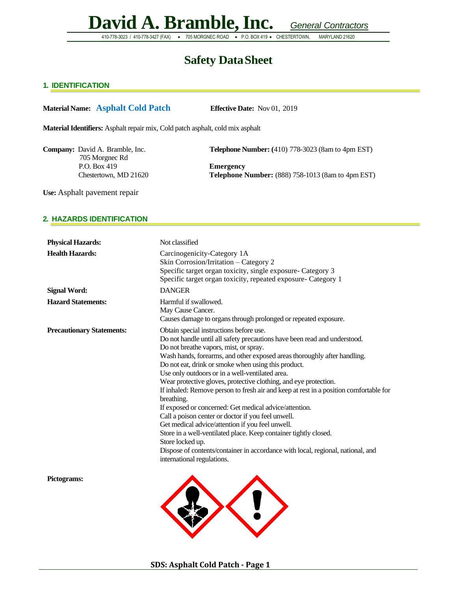410-778-3023 / 410-778-3427 (FAX) • 705 MORGNEC ROAD • P.O. BOX 419 • CHESTERTOWN, MARYLAND 21620

### **Safety DataSheet**

#### **1. IDENTIFICATION**

#### **Material Name: Asphalt Cold Patch Effective Date:** Nov 01, 2019

**Material Identifiers:** Asphalt repair mix, Cold patch asphalt, cold mix asphalt

705 Morgnec Rd P.O. Box 419 **Emergency**

**Company:** David A. Bramble, Inc. **Telephone Number:** (410) 778-3023 (8am to 4pm EST)

Chestertown, MD 21620 **Telephone Number:** (888) 758-1013 (8am to 4pm EST)

**Use:** Asphalt pavement repair

#### **2. HAZARDS IDENTIFICATION**

| <b>Physical Hazards:</b>         | Not classified                                                                                                                                                                                                                                                                                                                                                                                                                                                                                                                                                                                                                                                                                                                                                                                                                                                                                               |
|----------------------------------|--------------------------------------------------------------------------------------------------------------------------------------------------------------------------------------------------------------------------------------------------------------------------------------------------------------------------------------------------------------------------------------------------------------------------------------------------------------------------------------------------------------------------------------------------------------------------------------------------------------------------------------------------------------------------------------------------------------------------------------------------------------------------------------------------------------------------------------------------------------------------------------------------------------|
| <b>Health Hazards:</b>           | Carcinogenicity-Category 1A<br>Skin Corrosion/Irritation - Category 2<br>Specific target organ toxicity, single exposure- Category 3<br>Specific target organ toxicity, repeated exposure- Category 1                                                                                                                                                                                                                                                                                                                                                                                                                                                                                                                                                                                                                                                                                                        |
| <b>Signal Word:</b>              | <b>DANGER</b>                                                                                                                                                                                                                                                                                                                                                                                                                                                                                                                                                                                                                                                                                                                                                                                                                                                                                                |
| <b>Hazard Statements:</b>        | Harmful if swallowed.<br>May Cause Cancer.<br>Causes damage to organs through prolonged or repeated exposure.                                                                                                                                                                                                                                                                                                                                                                                                                                                                                                                                                                                                                                                                                                                                                                                                |
| <b>Precautionary Statements:</b> | Obtain special instructions before use.<br>Do not handle until all safety precautions have been read and understood.<br>Do not breathe vapors, mist, or spray.<br>Wash hands, forearms, and other exposed areas thoroughly after handling.<br>Do not eat, drink or smoke when using this product.<br>Use only outdoors or in a well-ventilated area.<br>Wear protective gloves, protective clothing, and eye protection.<br>If inhaled: Remove person to fresh air and keep at rest in a position comfortable for<br>breathing.<br>If exposed or concerned: Get medical advice/attention.<br>Call a poison center or doctor if you feel unwell.<br>Get medical advice/attention if you feel unwell.<br>Store in a well-ventilated place. Keep container tightly closed.<br>Store locked up.<br>Dispose of contents/container in accordance with local, regional, national, and<br>international regulations. |
| Pictograms:                      |                                                                                                                                                                                                                                                                                                                                                                                                                                                                                                                                                                                                                                                                                                                                                                                                                                                                                                              |

 $\ddot{\bullet}$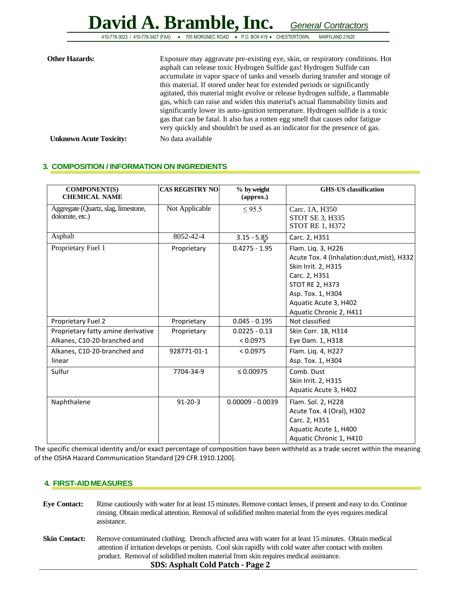410-778-3023 / 410-778-3427 (FAX) • 705 MORGNEC ROAD • P.O. BOX 419 • CHESTERTOWN, MARYLAND 21620

| <b>Other Hazards:</b>          | Exposure may aggravate pre-existing eye, skin, or respiratory conditions. Hot<br>asphalt can release toxic Hydrogen Sulfide gas! Hydrogen Sulfide can<br>accumulate in vapor space of tanks and vessels during transfer and storage of<br>this material. If stored under heat for extended periods or significantly<br>agitated, this material might evolve or release hydrogen sulfide, a flammable<br>gas, which can raise and widen this material's actual flammability limits and<br>significantly lower its auto-ignition temperature. Hydrogen sulfide is a toxic<br>gas that can be fatal. It also has a rotten egg smell that causes odor fatigue<br>very quickly and shouldn't be used as an indicator for the presence of gas. |
|--------------------------------|------------------------------------------------------------------------------------------------------------------------------------------------------------------------------------------------------------------------------------------------------------------------------------------------------------------------------------------------------------------------------------------------------------------------------------------------------------------------------------------------------------------------------------------------------------------------------------------------------------------------------------------------------------------------------------------------------------------------------------------|
| <b>Unknown Acute Toxicity:</b> | No data available                                                                                                                                                                                                                                                                                                                                                                                                                                                                                                                                                                                                                                                                                                                        |

#### **3. COMPOSITION / INFORMATION ON INGREDIENTS**

| <b>COMPONENT(S)</b><br><b>CHEMICAL NAME</b>                        | <b>CAS REGISTRY NO</b> | % by weight<br>(approx.)    | <b>GHS-US</b> classification                                                                                                                                                                                |
|--------------------------------------------------------------------|------------------------|-----------------------------|-------------------------------------------------------------------------------------------------------------------------------------------------------------------------------------------------------------|
| Aggregate (Quartz, slag, limestone,<br>dolomite, etc.)             | Not Applicable         | $\leq$ 95.5                 | Carc. 1A, H350<br>STOT SE 3, H335<br><b>STOT RE 1, H372</b>                                                                                                                                                 |
| Asphalt                                                            | 8052-42-4              | $3.15 - 5.85$               | Carc. 2, H351                                                                                                                                                                                               |
| Proprietary Fuel 1                                                 | Proprietary            | $0.4275 - 1.95$             | Flam. Liq. 3, H226<br>Acute Tox. 4 (Inhalation:dust, mist), H332<br>Skin Irrit. 2, H315<br>Carc. 2, H351<br><b>STOT RE 2, H373</b><br>Asp. Tox. 1, H304<br>Aquatic Acute 3, H402<br>Aquatic Chronic 2, H411 |
| Proprietary Fuel 2                                                 | Proprietary            | $0.045 - 0.195$             | Not classified                                                                                                                                                                                              |
| Proprietary fatty amine derivative<br>Alkanes, C10-20-branched and | Proprietary            | $0.0225 - 0.13$<br>< 0.0975 | Skin Corr. 1B, H314<br>Eye Dam. 1, H318                                                                                                                                                                     |
| Alkanes, C10-20-branched and<br>linear                             | 928771-01-1            | < 0.0975                    | Flam. Liq. 4, H227<br>Asp. Tox. 1, H304                                                                                                                                                                     |
| Sulfur                                                             | 7704-34-9              | $\leq 0.00975$              | Comb. Dust<br>Skin Irrit. 2, H315<br>Aquatic Acute 3, H402                                                                                                                                                  |
| Naphthalene                                                        | $91 - 20 - 3$          | $0.00009 - 0.0039$          | Flam. Sol. 2, H228<br>Acute Tox. 4 (Oral), H302<br>Carc. 2, H351<br>Aquatic Acute 1, H400<br>Aquatic Chronic 1, H410                                                                                        |

The specific chemical identity and/or exact percentage of composition have been withheld as a trade secret within the meaning of the OSHA Hazard Communication Standard [29 CFR 1910.1200].

#### **4. FIRST-AIDMEASURES**

**SDS: Asphalt Cold Patch - Page 2 Eye Contact:** Rinse cautiously with water for at least 15 minutes. Remove contact lenses, if present and easy to do. Continue rinsing. Obtain medical attention. Removal of solidified molten material from the eyes requires medical assistance. **Skin Contact:** Remove contaminated clothing. Drench affected area with water for at least 15 minutes. Obtain medical attention if irritation develops or persists. Cool skin rapidly with cold water after contact with molten product. Removal of solidified molten material from skin requires medical assistance.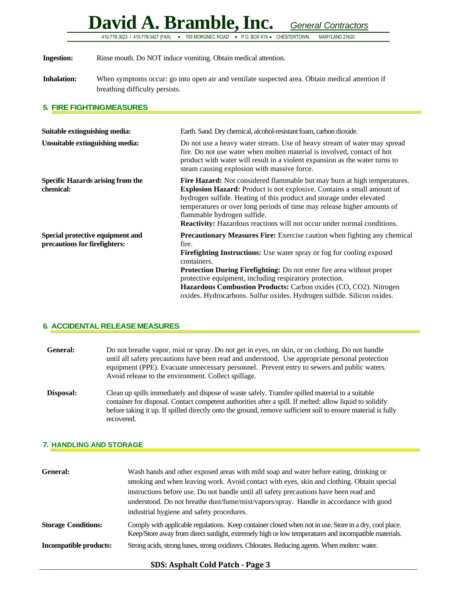410-778-3023 / 410-778-3427 (FAX) • 705 MORGNEC ROAD • P.O. BOX 419 • CHESTERTOWN, MARYLAND 21620

**Ingestion:** Rinse mouth. Do NOT induce vomiting. Obtain medical attention.

**Inhalation:** When symptoms occur: go into open air and ventilate suspected area. Obtain medical attention if breathing difficulty persists.

#### **5. FIRE FIGHTINGMEASURES**

| Suitable extinguishing media:                                     | Earth. Sand. Dry chemical, alcohol-resistant foam, carbon dioxide.                                                                                                                                                                                                                                                                                                                                                                                                               |
|-------------------------------------------------------------------|----------------------------------------------------------------------------------------------------------------------------------------------------------------------------------------------------------------------------------------------------------------------------------------------------------------------------------------------------------------------------------------------------------------------------------------------------------------------------------|
| Unsuitable extinguishing media:                                   | Do not use a heavy water stream. Use of heavy stream of water may spread<br>fire. Do not use water when molten material is involved, contact of hot<br>product with water will result in a violent expansion as the water turns to<br>steam causing explosion with massive force.                                                                                                                                                                                                |
| <b>Specific Hazards arising from the</b><br>chemical:             | <b>Fire Hazard:</b> Not considered flammable but may burn at high temperatures.<br><b>Explosion Hazard:</b> Product is not explosive. Contains a small amount of<br>hydrogen sulfide. Heating of this product and storage under elevated<br>temperatures or over long periods of time may release higher amounts of<br>flammable hydrogen sulfide.<br><b>Reactivity:</b> Hazardous reactions will not occur under normal conditions.                                             |
| Special protective equipment and<br>precautions for firefighters: | <b>Precautionary Measures Fire:</b> Exercise caution when fighting any chemical<br>fire.<br><b>Firefighting Instructions:</b> Use water spray or fog for cooling exposed<br>containers.<br><b>Protection During Firefighting:</b> Do not enter fire area without proper<br>protective equipment, including respiratory protection.<br>Hazardous Combustion Products: Carbon oxides (CO, CO2). Nitrogen<br>oxides. Hydrocarbons. Sulfur oxides. Hydrogen sulfide. Silicon oxides. |

#### **6. ACCIDENTAL RELEASE MEASURES**

| <b>General:</b> | Do not breathe vapor, mist or spray. Do not get in eyes, on skin, or on clothing. Do not handle<br>until all safety precautions have been read and understood. Use appropriate personal protection<br>equipment (PPE). Evacuate unnecessary personnel. Prevent entry to sewers and public waters.<br>Avoid release to the environment. Collect spillage. |
|-----------------|----------------------------------------------------------------------------------------------------------------------------------------------------------------------------------------------------------------------------------------------------------------------------------------------------------------------------------------------------------|
| Disposal:       | Clean up spills immediately and dispose of waste safely. Transfer spilled material to a suitable<br>container for disposal. Contact competent authorities after a spill. If melted: allow liquid to solidify<br>before taking it up. If spilled directly onto the ground, remove sufficient soil to ensure material is fully<br>recovered.               |

#### **7. HANDLING AND STORAGE**

| General:                      | Wash hands and other exposed areas with mild soap and water before eating, drinking or<br>smoking and when leaving work. Avoid contact with eyes, skin and clothing. Obtain special<br>instructions before use. Do not handle until all safety precautions have been read and<br>understood. Do not breathe dust/fume/mist/vapors/spray. Handle in accordance with good<br>industrial hygiene and safety procedures. |
|-------------------------------|----------------------------------------------------------------------------------------------------------------------------------------------------------------------------------------------------------------------------------------------------------------------------------------------------------------------------------------------------------------------------------------------------------------------|
| <b>Storage Conditions:</b>    | Comply with applicable regulations. Keep container closed when not in use. Store in a dry, cool place.<br>Keep/Store away from direct sunlight, extremely high or low temperatures and incompatible materials.                                                                                                                                                                                                       |
| <b>Incompatible products:</b> | Strong acids, strong bases, strong oxidizers. Chlorates. Reducing agents. When molten: water.                                                                                                                                                                                                                                                                                                                        |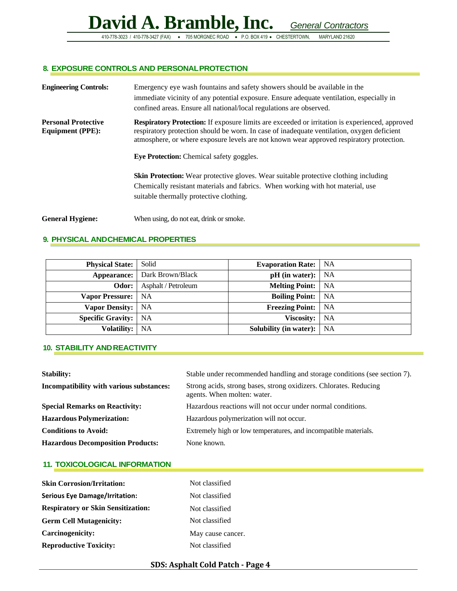#### **8. EXPOSURE CONTROLS AND PERSONALPROTECTION**

| <b>Engineering Controls:</b>                          | Emergency eye wash fountains and safety showers should be available in the<br>immediate vicinity of any potential exposure. Ensure adequate ventilation, especially in<br>confined areas. Ensure all national/local regulations are observed.                                                                                                      |
|-------------------------------------------------------|----------------------------------------------------------------------------------------------------------------------------------------------------------------------------------------------------------------------------------------------------------------------------------------------------------------------------------------------------|
| <b>Personal Protective</b><br><b>Equipment (PPE):</b> | <b>Respiratory Protection:</b> If exposure limits are exceeded or irritation is experienced, approved<br>respiratory protection should be worn. In case of inadequate ventilation, oxygen deficient<br>atmosphere, or where exposure levels are not known wear approved respiratory protection.<br><b>Eye Protection:</b> Chemical safety goggles. |
|                                                       | <b>Skin Protection:</b> Wear protective gloves. Wear suitable protective clothing including<br>Chemically resistant materials and fabrics. When working with hot material, use<br>suitable thermally protective clothing.                                                                                                                          |
| <b>General Hygiene:</b>                               | When using, do not eat, drink or smoke.                                                                                                                                                                                                                                                                                                            |

#### **9. PHYSICAL ANDCHEMICAL PROPERTIES**

| <b>Physical State:</b>   | Solid                                 | <b>Evaporation Rate:</b>   NA    |      |
|--------------------------|---------------------------------------|----------------------------------|------|
|                          | <b>Appearance:</b>   Dark Brown/Black | $pH$ (in water): $\vert$ NA      |      |
| Odor:                    | Asphalt / Petroleum                   | <b>Melting Point:</b> NA         |      |
| <b>Vapor Pressure:</b>   | <b>NA</b>                             | <b>Boiling Point:</b> NA         |      |
| <b>Vapor Density:</b>    | - NA                                  | <b>Freezing Point:</b> NA        |      |
| <b>Specific Gravity:</b> | NA                                    | Viscosity:                       | - NA |
| <b>Volatility:</b>       | NA                                    | <b>Solubility (in water):</b> NA |      |

#### **10. STABILITY ANDREACTIVITY**

| <b>Stability:</b>                               | Stable under recommended handling and storage conditions (see section 7).                        |
|-------------------------------------------------|--------------------------------------------------------------------------------------------------|
| <b>Incompatibility with various substances:</b> | Strong acids, strong bases, strong oxidizers. Chlorates. Reducing<br>agents. When molten: water. |
| <b>Special Remarks on Reactivity:</b>           | Hazardous reactions will not occur under normal conditions.                                      |
| <b>Hazardous Polymerization:</b>                | Hazardous polymerization will not occur.                                                         |
| <b>Conditions to Avoid:</b>                     | Extremely high or low temperatures, and incompatible materials.                                  |
| <b>Hazardous Decomposition Products:</b>        | None known.                                                                                      |

#### **11. TOXICOLOGICAL INFORMATION**

| <b>Skin Corrosion/Irritation:</b>         | Not classified    |
|-------------------------------------------|-------------------|
| <b>Serious Eye Damage/Irritation:</b>     | Not classified    |
| <b>Respiratory or Skin Sensitization:</b> | Not classified    |
| <b>Germ Cell Mutagenicity:</b>            | Not classified    |
| <b>Carcinogenicity:</b>                   | May cause cancer. |
| <b>Reproductive Toxicity:</b>             | Not classified    |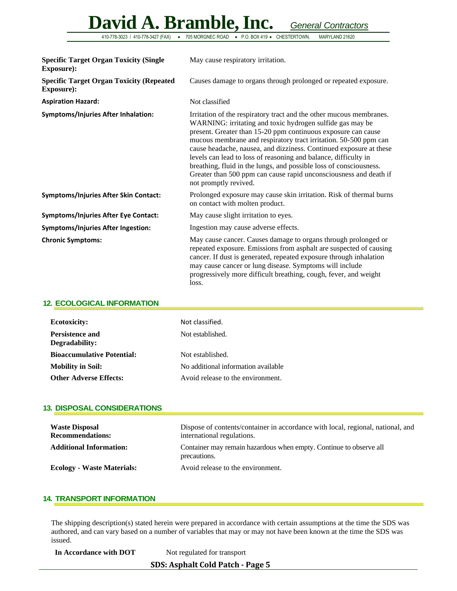410-778-3023 / 410-778-3427 (FAX) • 705 MORGNEC ROAD • P.O. BOX 419 • CHESTERTOWN, MARYLAND 21620

| <b>Specific Target Organ Toxicity (Single</b><br><b>Exposure:</b>   | May cause respiratory irritation.                                                                                                                                                                                                                                                                                                                                                                                                                                                                                                                                                  |
|---------------------------------------------------------------------|------------------------------------------------------------------------------------------------------------------------------------------------------------------------------------------------------------------------------------------------------------------------------------------------------------------------------------------------------------------------------------------------------------------------------------------------------------------------------------------------------------------------------------------------------------------------------------|
| <b>Specific Target Organ Toxicity (Repeated</b><br><b>Exposure:</b> | Causes damage to organs through prolonged or repeated exposure.                                                                                                                                                                                                                                                                                                                                                                                                                                                                                                                    |
| <b>Aspiration Hazard:</b>                                           | Not classified                                                                                                                                                                                                                                                                                                                                                                                                                                                                                                                                                                     |
| <b>Symptoms/Injuries After Inhalation:</b>                          | Irritation of the respiratory tract and the other mucous membranes.<br>WARNING: irritating and toxic hydrogen sulfide gas may be<br>present. Greater than 15-20 ppm continuous exposure can cause<br>mucous membrane and respiratory tract irritation. 50-500 ppm can<br>cause headache, nausea, and dizziness. Continued exposure at these<br>levels can lead to loss of reasoning and balance, difficulty in<br>breathing, fluid in the lungs, and possible loss of consciousness.<br>Greater than 500 ppm can cause rapid unconsciousness and death if<br>not promptly revived. |
| <b>Symptoms/Injuries After Skin Contact:</b>                        | Prolonged exposure may cause skin irritation. Risk of thermal burns<br>on contact with molten product.                                                                                                                                                                                                                                                                                                                                                                                                                                                                             |
| <b>Symptoms/Injuries After Eye Contact:</b>                         | May cause slight irritation to eyes.                                                                                                                                                                                                                                                                                                                                                                                                                                                                                                                                               |
| <b>Symptoms/Injuries After Ingestion:</b>                           | Ingestion may cause adverse effects.                                                                                                                                                                                                                                                                                                                                                                                                                                                                                                                                               |
| <b>Chronic Symptoms:</b>                                            | May cause cancer. Causes damage to organs through prolonged or<br>repeated exposure. Emissions from asphalt are suspected of causing<br>cancer. If dust is generated, repeated exposure through inhalation<br>may cause cancer or lung disease. Symptoms will include<br>progressively more difficult breathing, cough, fever, and weight<br>loss.                                                                                                                                                                                                                                 |

#### **12. ECOLOGICAL INFORMATION**

| <b>Ecotoxicity:</b><br>Persistence and<br>Degradability: | Not classified.<br>Not established. |
|----------------------------------------------------------|-------------------------------------|
| <b>Bioaccumulative Potential:</b>                        | Not established.                    |
| <b>Mobility in Soil:</b>                                 | No additional information available |
| <b>Other Adverse Effects:</b>                            | Avoid release to the environment.   |

#### **13. DISPOSAL CONSIDERATIONS**

| <b>Waste Disposal</b><br><b>Recommendations:</b> | Dispose of contents/container in accordance with local, regional, national, and<br>international regulations. |
|--------------------------------------------------|---------------------------------------------------------------------------------------------------------------|
| <b>Additional Information:</b>                   | Container may remain hazardous when empty. Continue to observe all<br>precautions.                            |
| <b>Ecology - Waste Materials:</b>                | Avoid release to the environment.                                                                             |

#### **14. TRANSPORT INFORMATION**

The shipping description(s) stated herein were prepared in accordance with certain assumptions at the time the SDS was authored, and can vary based on a number of variables that may or may not have been known at the time the SDS was issued.

In Accordance with DOT Not regulated for transport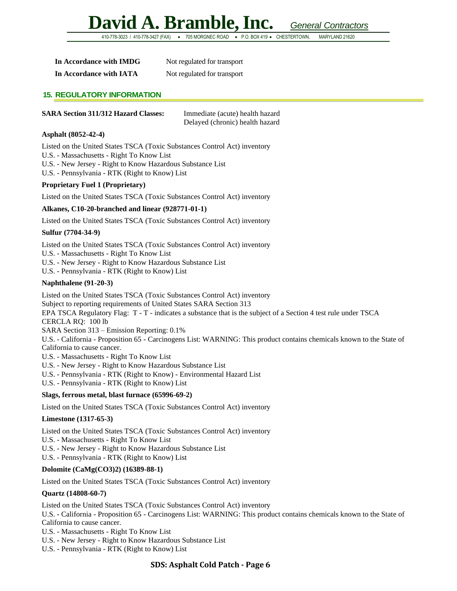410-778-3023 / 410-778-3427 (FAX) • 705 MORGNEC ROAD • P.O. BOX 419 • CHESTERTOWN, MARYLAND 21620

| In Accordance with IMDG | Not regulated for transport |
|-------------------------|-----------------------------|
| In Accordance with IATA | Not regulated for transport |

#### **15. REGULATORY INFORMATION**

#### **SARA Section 311/312 Hazard Classes:** Immediate (acute) health hazard

Delayed (chronic) health hazard

#### **Asphalt (8052-42-4)**

Listed on the United States TSCA (Toxic Substances Control Act) inventory

- U.S. Massachusetts Right To Know List
- U.S. New Jersey Right to Know Hazardous Substance List
- U.S. Pennsylvania RTK (Right to Know) List

#### **Proprietary Fuel 1 (Proprietary)**

Listed on the United States TSCA (Toxic Substances Control Act) inventory

#### **Alkanes, C10-20-branched and linear (928771-01-1)**

Listed on the United States TSCA (Toxic Substances Control Act) inventory

#### **Sulfur (7704-34-9)**

Listed on the United States TSCA (Toxic Substances Control Act) inventory

- U.S. Massachusetts Right To Know List
- U.S. New Jersey Right to Know Hazardous Substance List
- U.S. Pennsylvania RTK (Right to Know) List

#### **Naphthalene (91-20-3)**

Listed on the United States TSCA (Toxic Substances Control Act) inventory Subject to reporting requirements of United States SARA Section 313 EPA TSCA Regulatory Flag: T - T - indicates a substance that is the subject of a Section 4 test rule under TSCA CERCLA RQ: 100 lb SARA Section 313 – Emission Reporting: 0.1% U.S. - California - Proposition 65 - Carcinogens List: WARNING: This product contains chemicals known to the State of California to cause cancer. U.S. - Massachusetts - Right To Know List

- U.S. New Jersey Right to Know Hazardous Substance List
- U.S. Pennsylvania RTK (Right to Know) Environmental Hazard List
- U.S. Pennsylvania RTK (Right to Know) List

#### **Slags, ferrous metal, blast furnace (65996-69-2)**

Listed on the United States TSCA (Toxic Substances Control Act) inventory

#### **Limestone (1317-65-3)**

Listed on the United States TSCA (Toxic Substances Control Act) inventory

- U.S. Massachusetts Right To Know List
- U.S. New Jersey Right to Know Hazardous Substance List

U.S. - Pennsylvania - RTK (Right to Know) List

#### **Dolomite (CaMg(CO3)2) (16389-88-1)**

Listed on the United States TSCA (Toxic Substances Control Act) inventory

#### **Quartz (14808-60-7)**

Listed on the United States TSCA (Toxic Substances Control Act) inventory

U.S. - California - Proposition 65 - Carcinogens List: WARNING: This product contains chemicals known to the State of California to cause cancer.

- U.S. Massachusetts Right To Know List
- U.S. New Jersey Right to Know Hazardous Substance List
- U.S. Pennsylvania RTK (Right to Know) List